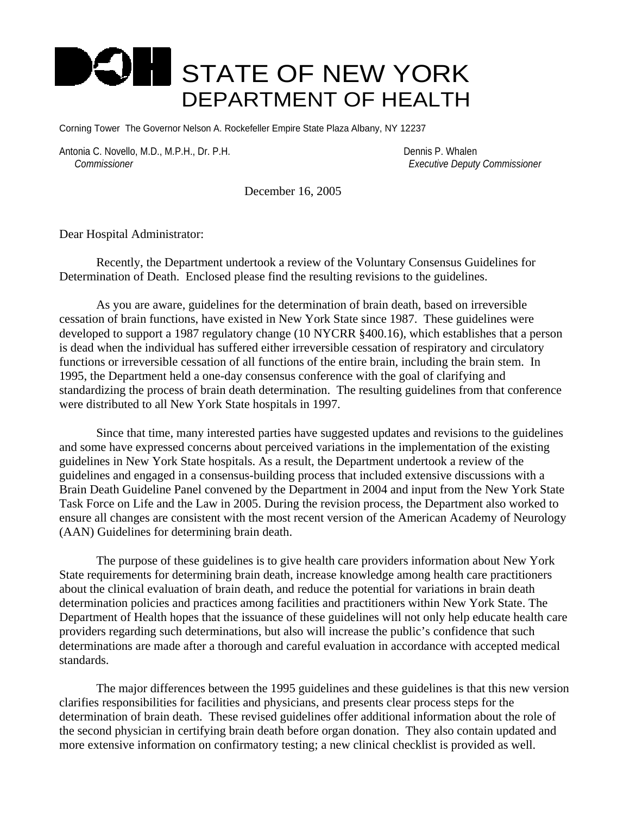## **STATE OF NEW YORK** DEPARTMENT OF HEALTH

Corning Tower The Governor Nelson A. Rockefeller Empire State Plaza Albany, NY 12237

Antonia C. Novello, M.D., M.P.H., Dr. P.H. Dennis P. Whalen  *Commissioner Executive Deputy Commissioner*

December 16, 2005

Dear Hospital Administrator:

Recently, the Department undertook a review of the Voluntary Consensus Guidelines for Determination of Death. Enclosed please find the resulting revisions to the guidelines.

As you are aware, guidelines for the determination of brain death, based on irreversible cessation of brain functions, have existed in New York State since 1987. These guidelines were developed to support a 1987 regulatory change (10 NYCRR §400.16), which establishes that a person is dead when the individual has suffered either irreversible cessation of respiratory and circulatory functions or irreversible cessation of all functions of the entire brain, including the brain stem. In 1995, the Department held a one-day consensus conference with the goal of clarifying and standardizing the process of brain death determination. The resulting guidelines from that conference were distributed to all New York State hospitals in 1997.

Since that time, many interested parties have suggested updates and revisions to the guidelines and some have expressed concerns about perceived variations in the implementation of the existing guidelines in New York State hospitals. As a result, the Department undertook a review of the guidelines and engaged in a consensus-building process that included extensive discussions with a Brain Death Guideline Panel convened by the Department in 2004 and input from the New York State Task Force on Life and the Law in 2005. During the revision process, the Department also worked to ensure all changes are consistent with the most recent version of the American Academy of Neurology (AAN) Guidelines for determining brain death.

The purpose of these guidelines is to give health care providers information about New York State requirements for determining brain death, increase knowledge among health care practitioners about the clinical evaluation of brain death, and reduce the potential for variations in brain death determination policies and practices among facilities and practitioners within New York State. The Department of Health hopes that the issuance of these guidelines will not only help educate health care providers regarding such determinations, but also will increase the public's confidence that such determinations are made after a thorough and careful evaluation in accordance with accepted medical standards.

The major differences between the 1995 guidelines and these guidelines is that this new version clarifies responsibilities for facilities and physicians, and presents clear process steps for the determination of brain death. These revised guidelines offer additional information about the role of the second physician in certifying brain death before organ donation. They also contain updated and more extensive information on confirmatory testing; a new clinical checklist is provided as well.